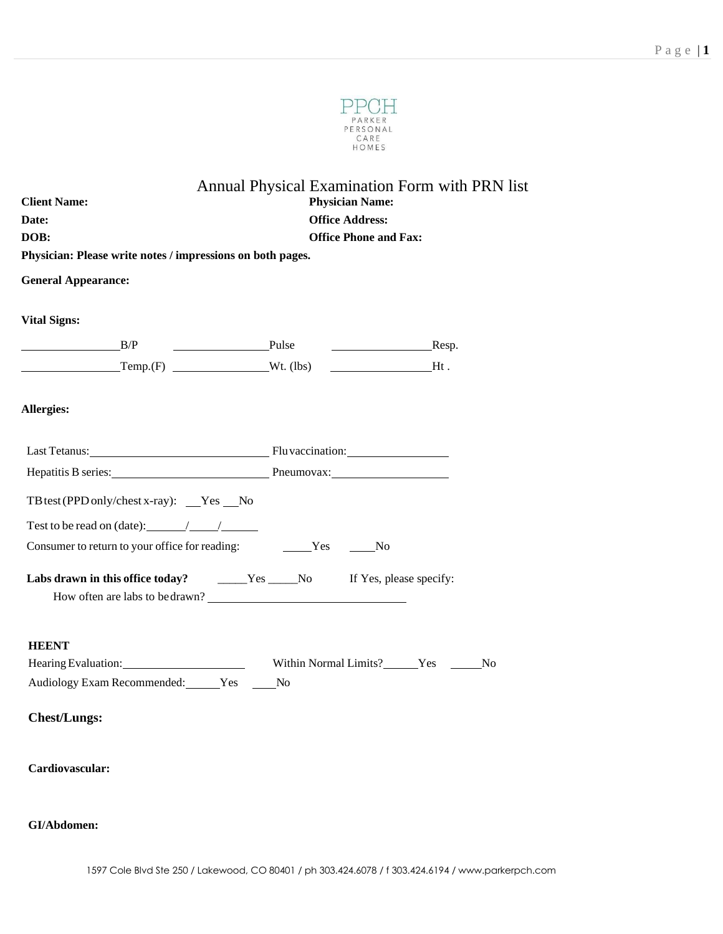

|                                                                                            | Annual Physical Examination Form with PRN list                                                    |  |  |  |  |  |
|--------------------------------------------------------------------------------------------|---------------------------------------------------------------------------------------------------|--|--|--|--|--|
| <b>Physician Name:</b><br><b>Client Name:</b>                                              |                                                                                                   |  |  |  |  |  |
| Date:                                                                                      | <b>Office Address:</b><br><b>Office Phone and Fax:</b>                                            |  |  |  |  |  |
| DOB:<br>Physician: Please write notes / impressions on both pages.                         |                                                                                                   |  |  |  |  |  |
|                                                                                            |                                                                                                   |  |  |  |  |  |
| <b>General Appearance:</b>                                                                 |                                                                                                   |  |  |  |  |  |
| <b>Vital Signs:</b>                                                                        |                                                                                                   |  |  |  |  |  |
| B/P                                                                                        | Pulse Resp.                                                                                       |  |  |  |  |  |
|                                                                                            | $\begin{array}{ccc}\n\textbf{Temp.}(F) & \textbf{Wt.} \text{ (lbs)} & \textbf{Ht.} \n\end{array}$ |  |  |  |  |  |
|                                                                                            |                                                                                                   |  |  |  |  |  |
| Allergies:                                                                                 |                                                                                                   |  |  |  |  |  |
|                                                                                            |                                                                                                   |  |  |  |  |  |
|                                                                                            | Last Tetanus: Fluvaccination:                                                                     |  |  |  |  |  |
|                                                                                            | Hepatitis B series: Pheumovax: Pheumovax:                                                         |  |  |  |  |  |
| TB test (PPD only/chest x-ray): $Yes$ No                                                   |                                                                                                   |  |  |  |  |  |
| Test to be read on (date): $\frac{1}{\sqrt{1-\frac{1}{2}}}\frac{1}{\sqrt{1-\frac{1}{2}}}}$ |                                                                                                   |  |  |  |  |  |
| Consumer to return to your office for reading:                                             | No Ves No                                                                                         |  |  |  |  |  |
|                                                                                            |                                                                                                   |  |  |  |  |  |
|                                                                                            | Labs drawn in this office today? ______Yes _____No If Yes, please specify:                        |  |  |  |  |  |
|                                                                                            | How often are labs to be drawn?                                                                   |  |  |  |  |  |
|                                                                                            |                                                                                                   |  |  |  |  |  |
| <b>HEENT</b>                                                                               |                                                                                                   |  |  |  |  |  |
|                                                                                            |                                                                                                   |  |  |  |  |  |
| Audiology Exam Recommended: Yes _____ No                                                   |                                                                                                   |  |  |  |  |  |
| <b>Chest/Lungs:</b>                                                                        |                                                                                                   |  |  |  |  |  |
| Cardiovascular:                                                                            |                                                                                                   |  |  |  |  |  |
| GI/Abdomen:                                                                                |                                                                                                   |  |  |  |  |  |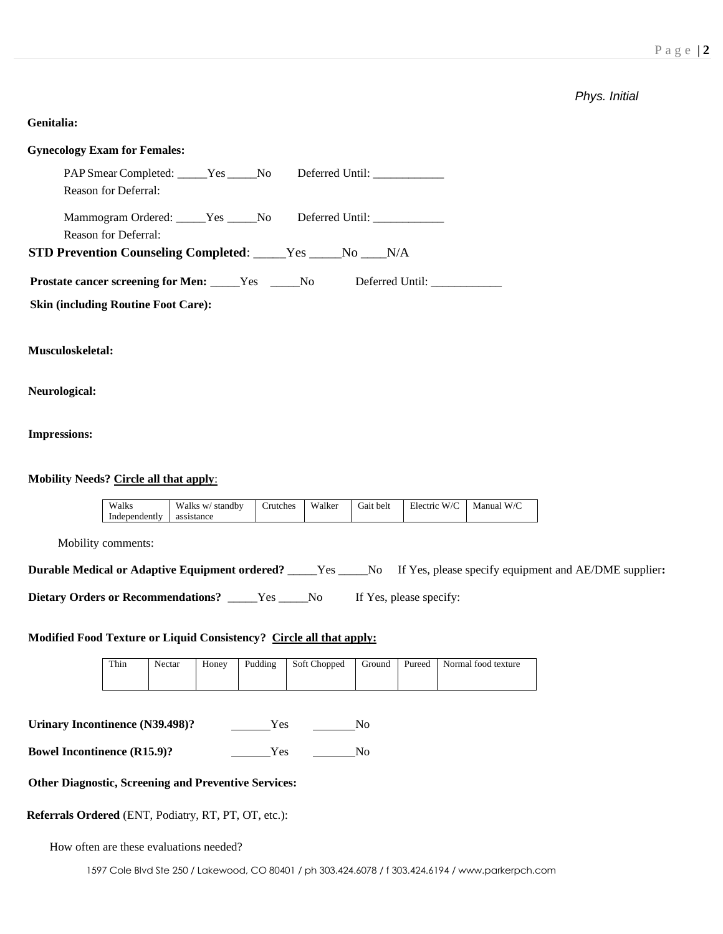# *Phys. Initial*

# **Genitalia:**

| <b>Gynecology Exam for Females:</b>                                                                                       |
|---------------------------------------------------------------------------------------------------------------------------|
| Deferred Until: ______________<br>PAP Smear Completed: _____Yes _____No<br>Reason for Deferral:                           |
| Mammogram Ordered: _____Yes _____No Deferred Until: _____________________________<br>Reason for Deferral:                 |
| STD Prevention Counseling Completed: ____Yes ____No ___N/A                                                                |
| Prostate cancer screening for Men: _____Yes _____No<br>Deferred Until: _____________                                      |
| <b>Skin (including Routine Foot Care):</b>                                                                                |
| Musculoskeletal:                                                                                                          |
| Neurological:                                                                                                             |
| <b>Impressions:</b>                                                                                                       |
| <b>Mobility Needs? Circle all that apply:</b>                                                                             |
| Walks<br>Walks w/ standby<br>Crutches<br>Walker<br>Electric W/C<br>Manual W/C<br>Gait belt<br>Independently<br>assistance |
| Mobility comments:                                                                                                        |
| Durable Medical or Adaptive Equipment ordered? ____Yes ____No If Yes, please specify equipment and AE/DME supplier:       |
| Dietary Orders or Recommendations? _____Yes _____No<br>If Yes, please specify:                                            |
| Modified Food Texture or Liquid Consistency? Circle all that apply:                                                       |

| Thin | Nectar | Honey |  |  | Pudding Soft Chopped Ground Pureed Normal food texture |
|------|--------|-------|--|--|--------------------------------------------------------|
|      |        |       |  |  |                                                        |

| Urinary Incontinence (N39.498)? | Y es | No. |
|---------------------------------|------|-----|
|---------------------------------|------|-----|

**Bowel Incontinence (R15.9)?** Yes No

# **Other Diagnostic, Screening and Preventive Services:**

# **Referrals Ordered** (ENT, Podiatry, RT, PT, OT, etc.):

How often are these evaluations needed?

1597 Cole Blvd Ste 250 / Lakewood, CO 80401 / ph 303.424.6078 / f 303.424.6194 / www.parkerpch.com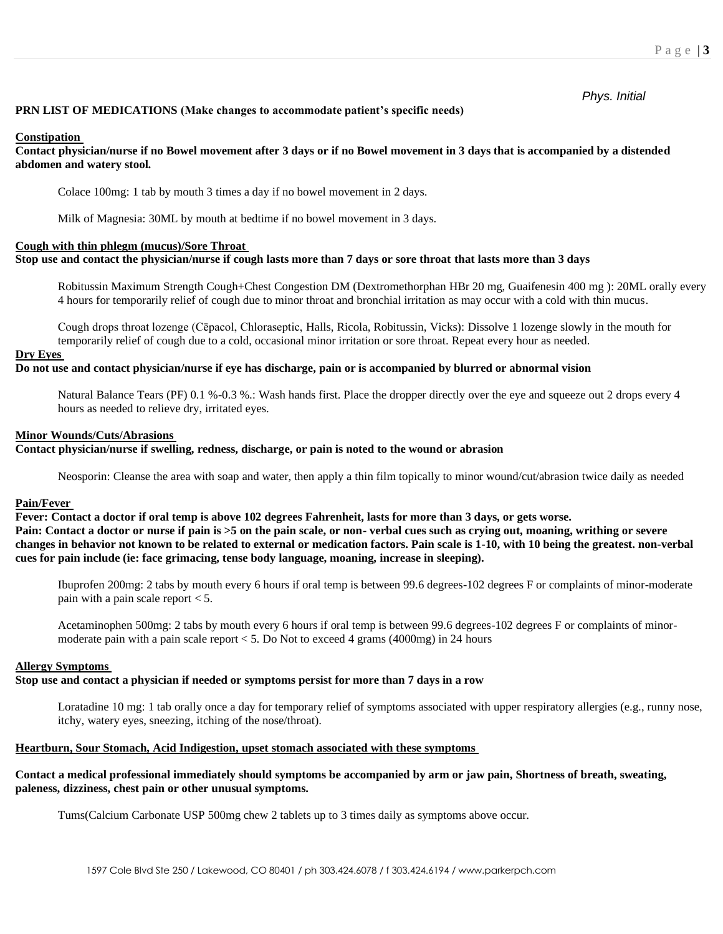*Phys. Initial*

### **PRN LIST OF MEDICATIONS (Make changes to accommodate patient's specific needs)**

### **Constipation**

### **Contact physician/nurse if no Bowel movement after 3 days or if no Bowel movement in 3 days that is accompanied by a distended abdomen and watery stool.**

Colace 100mg: 1 tab by mouth 3 times a day if no bowel movement in 2 days.

Milk of Magnesia: 30ML by mouth at bedtime if no bowel movement in 3 days.

### **Cough with thin phlegm (mucus)/Sore Throat**

### **Stop use and contact the physician/nurse if cough lasts more than 7 days or sore throat that lasts more than 3 days**

Robitussin Maximum Strength Cough+Chest Congestion DM (Dextromethorphan HBr 20 mg, Guaifenesin 400 mg ): 20ML orally every 4 hours for temporarily relief of cough due to minor throat and bronchial irritation as may occur with a cold with thin mucus.

Cough drops throat lozenge (Cēpacol, Chloraseptic, Halls, Ricola, Robitussin, Vicks): Dissolve 1 lozenge slowly in the mouth for temporarily relief of cough due to a cold, occasional minor irritation or sore throat. Repeat every hour as needed.

#### **Dry Eyes**

### **Do not use and contact physician/nurse if eye has discharge, pain or is accompanied by blurred or abnormal vision**

Natural Balance Tears (PF) 0.1 %-0.3 %.: Wash hands first. Place the dropper directly over the eye and squeeze out 2 drops every 4 hours as needed to relieve dry, irritated eyes.

#### **Minor Wounds/Cuts/Abrasions**

# **Contact physician/nurse if swelling, redness, discharge, or pain is noted to the wound or abrasion**

Neosporin: Cleanse the area with soap and water, then apply a thin film topically to minor wound/cut/abrasion twice daily as needed

#### **Pain/Fever**

**Fever: Contact a doctor if oral temp is above 102 degrees Fahrenheit, lasts for more than 3 days, or gets worse. Pain: Contact a doctor or nurse if pain is >5 on the pain scale, or non- verbal cues such as crying out, moaning, writhing or severe changes in behavior not known to be related to external or medication factors. Pain scale is 1-10, with 10 being the greatest. non-verbal cues for pain include (ie: face grimacing, tense body language, moaning, increase in sleeping).** 

Ibuprofen 200mg: 2 tabs by mouth every 6 hours if oral temp is between 99.6 degrees-102 degrees F or complaints of minor-moderate pain with a pain scale report < 5.

Acetaminophen 500mg: 2 tabs by mouth every 6 hours if oral temp is between 99.6 degrees-102 degrees F or complaints of minormoderate pain with a pain scale report < 5. Do Not to exceed 4 grams (4000mg) in 24 hours

### **Allergy Symptoms**

# **Stop use and contact a physician if needed or symptoms persist for more than 7 days in a row**

Loratadine 10 mg: 1 tab orally once a day for temporary relief of symptoms associated with upper respiratory allergies (e.g., runny nose, itchy, watery eyes, sneezing, itching of the nose/throat).

### **Heartburn, Sour Stomach, Acid Indigestion, upset stomach associated with these symptoms**

## **Contact a medical professional immediately should symptoms be accompanied by arm or jaw pain, Shortness of breath, sweating, paleness, dizziness, chest pain or other unusual symptoms.**

Tums(Calcium Carbonate USP 500mg chew 2 tablets up to 3 times daily as symptoms above occur.